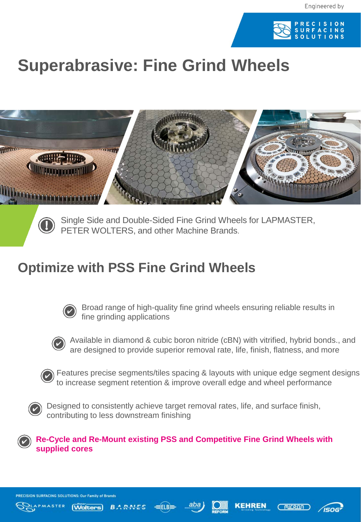

## **Superabrasive: Fine Grind Wheels**





Single Side and Double-Sided Fine Grind Wheels for LAPMASTER, PETER WOLTERS, and other Machine Brands.

## **Optimize with PSS Fine Grind Wheels**



Broad range of high-quality fine grind wheels ensuring reliable results in fine grinding applications



Available in diamond & cubic boron nitride (cBN) with vitrified, hybrid bonds., and are designed to provide superior removal rate, life, finish, flatness, and more



Features precise segments/tiles spacing & layouts with unique edge segment designs to increase segment retention & improve overall edge and wheel performance



Designed to consistently achieve target removal rates, life, and surface finish, contributing to less downstream finishing



ON SURFACING SOLUTIONS: Our Family of Brands

**Wolters**